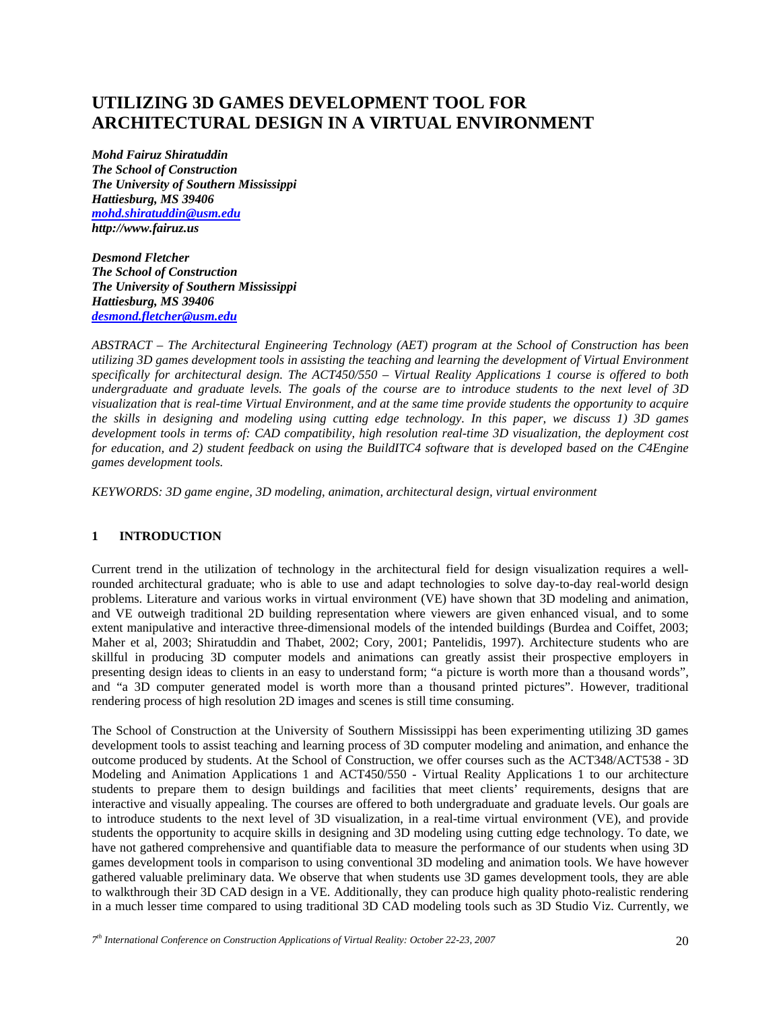# **UTILIZING 3D GAMES DEVELOPMENT TOOL FOR ARCHITECTURAL DESIGN IN A VIRTUAL ENVIRONMENT**

*Mohd Fairuz Shiratuddin The School of Construction The University of Southern Mississippi Hattiesburg, MS 39406 mohd.shiratuddin@usm.edu http://www.fairuz.us* 

*Desmond Fletcher The School of Construction The University of Southern Mississippi Hattiesburg, MS 39406 desmond.fletcher@usm.edu*

*ABSTRACT – The Architectural Engineering Technology (AET) program at the School of Construction has been utilizing 3D games development tools in assisting the teaching and learning the development of Virtual Environment specifically for architectural design. The ACT450/550 – Virtual Reality Applications 1 course is offered to both undergraduate and graduate levels. The goals of the course are to introduce students to the next level of 3D visualization that is real-time Virtual Environment, and at the same time provide students the opportunity to acquire the skills in designing and modeling using cutting edge technology. In this paper, we discuss 1) 3D games development tools in terms of: CAD compatibility, high resolution real-time 3D visualization, the deployment cost for education, and 2) student feedback on using the BuildITC4 software that is developed based on the C4Engine games development tools.* 

*KEYWORDS: 3D game engine, 3D modeling, animation, architectural design, virtual environment* 

## **1 INTRODUCTION**

Current trend in the utilization of technology in the architectural field for design visualization requires a wellrounded architectural graduate; who is able to use and adapt technologies to solve day-to-day real-world design problems. Literature and various works in virtual environment (VE) have shown that 3D modeling and animation, and VE outweigh traditional 2D building representation where viewers are given enhanced visual, and to some extent manipulative and interactive three-dimensional models of the intended buildings (Burdea and Coiffet, 2003; Maher et al, 2003; Shiratuddin and Thabet, 2002; Cory, 2001; Pantelidis, 1997). Architecture students who are skillful in producing 3D computer models and animations can greatly assist their prospective employers in presenting design ideas to clients in an easy to understand form; "a picture is worth more than a thousand words", and "a 3D computer generated model is worth more than a thousand printed pictures". However, traditional rendering process of high resolution 2D images and scenes is still time consuming.

The School of Construction at the University of Southern Mississippi has been experimenting utilizing 3D games development tools to assist teaching and learning process of 3D computer modeling and animation, and enhance the outcome produced by students. At the School of Construction, we offer courses such as the ACT348/ACT538 - 3D Modeling and Animation Applications 1 and ACT450/550 - Virtual Reality Applications 1 to our architecture students to prepare them to design buildings and facilities that meet clients' requirements, designs that are interactive and visually appealing. The courses are offered to both undergraduate and graduate levels. Our goals are to introduce students to the next level of 3D visualization, in a real-time virtual environment (VE), and provide students the opportunity to acquire skills in designing and 3D modeling using cutting edge technology. To date, we have not gathered comprehensive and quantifiable data to measure the performance of our students when using 3D games development tools in comparison to using conventional 3D modeling and animation tools. We have however gathered valuable preliminary data. We observe that when students use 3D games development tools, they are able to walkthrough their 3D CAD design in a VE. Additionally, they can produce high quality photo-realistic rendering in a much lesser time compared to using traditional 3D CAD modeling tools such as 3D Studio Viz. Currently, we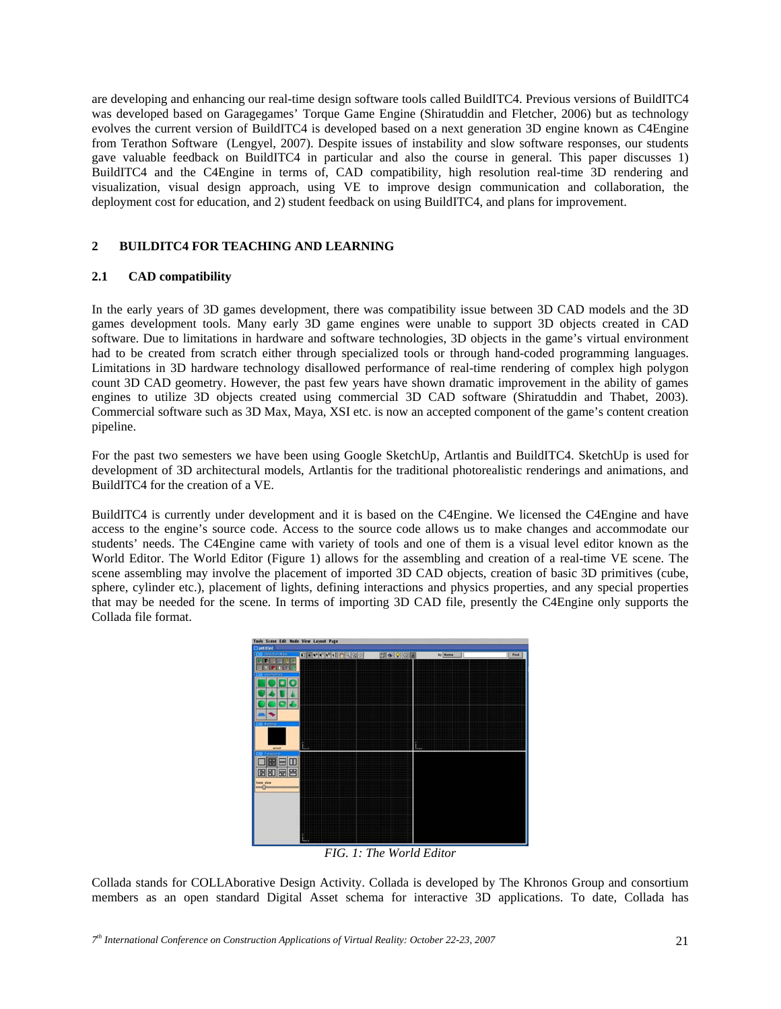are developing and enhancing our real-time design software tools called BuildITC4. Previous versions of BuildITC4 was developed based on Garagegames' Torque Game Engine (Shiratuddin and Fletcher, 2006) but as technology evolves the current version of BuildITC4 is developed based on a next generation 3D engine known as C4Engine from Terathon Software (Lengyel, 2007). Despite issues of instability and slow software responses, our students gave valuable feedback on BuildITC4 in particular and also the course in general. This paper discusses 1) BuildITC4 and the C4Engine in terms of, CAD compatibility, high resolution real-time 3D rendering and visualization, visual design approach, using VE to improve design communication and collaboration, the deployment cost for education, and 2) student feedback on using BuildITC4, and plans for improvement.

## **2 BUILDITC4 FOR TEACHING AND LEARNING**

## **2.1 CAD compatibility**

In the early years of 3D games development, there was compatibility issue between 3D CAD models and the 3D games development tools. Many early 3D game engines were unable to support 3D objects created in CAD software. Due to limitations in hardware and software technologies, 3D objects in the game's virtual environment had to be created from scratch either through specialized tools or through hand-coded programming languages. Limitations in 3D hardware technology disallowed performance of real-time rendering of complex high polygon count 3D CAD geometry. However, the past few years have shown dramatic improvement in the ability of games engines to utilize 3D objects created using commercial 3D CAD software (Shiratuddin and Thabet, 2003). Commercial software such as 3D Max, Maya, XSI etc. is now an accepted component of the game's content creation pipeline.

For the past two semesters we have been using Google SketchUp, Artlantis and BuildITC4. SketchUp is used for development of 3D architectural models, Artlantis for the traditional photorealistic renderings and animations, and BuildITC4 for the creation of a VE.

BuildITC4 is currently under development and it is based on the C4Engine. We licensed the C4Engine and have access to the engine's source code. Access to the source code allows us to make changes and accommodate our students' needs. The C4Engine came with variety of tools and one of them is a visual level editor known as the World Editor. The World Editor (Figure 1) allows for the assembling and creation of a real-time VE scene. The scene assembling may involve the placement of imported 3D CAD objects, creation of basic 3D primitives (cube, sphere, cylinder etc.), placement of lights, defining interactions and physics properties, and any special properties that may be needed for the scene. In terms of importing 3D CAD file, presently the C4Engine only supports the Collada file format.



*FIG. 1: The World Editor* 

Collada stands for COLLAborative Design Activity. Collada is developed by The Khronos Group and consortium members as an open standard Digital Asset schema for interactive 3D applications. To date, Collada has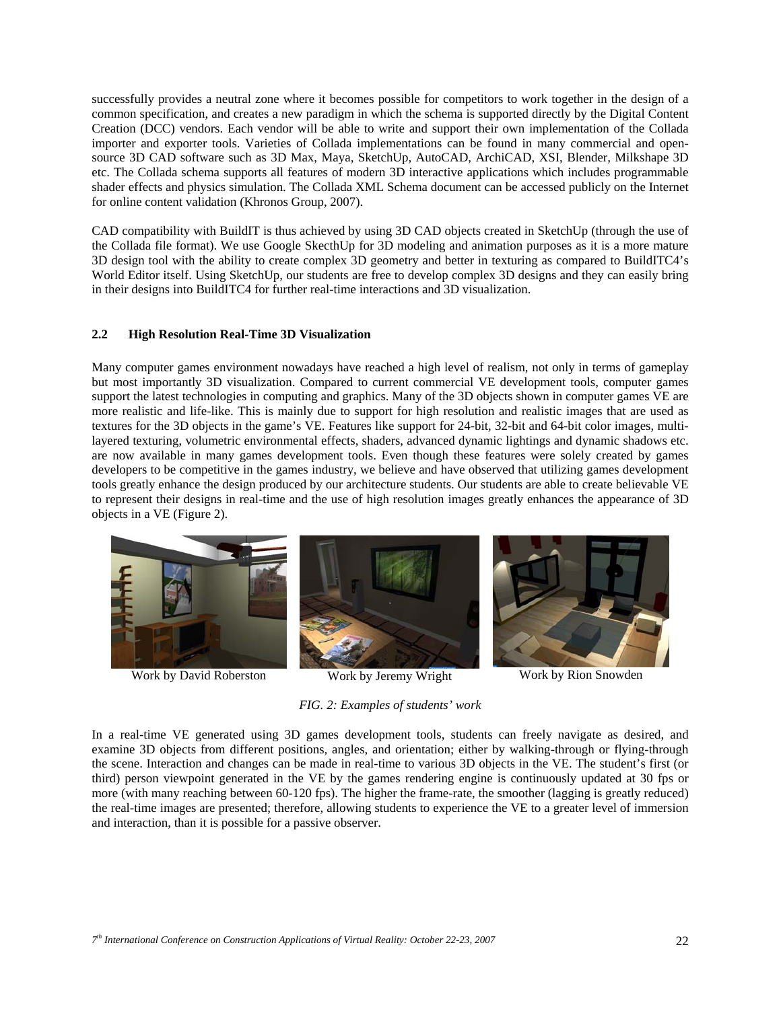successfully provides a neutral zone where it becomes possible for competitors to work together in the design of a common specification, and creates a new paradigm in which the schema is supported directly by the Digital Content Creation (DCC) vendors. Each vendor will be able to write and support their own implementation of the Collada importer and exporter tools. Varieties of Collada implementations can be found in many commercial and opensource 3D CAD software such as 3D Max, Maya, SketchUp, AutoCAD, ArchiCAD, XSI, Blender, Milkshape 3D etc. The Collada schema supports all features of modern 3D interactive applications which includes programmable shader effects and physics simulation. The Collada XML Schema document can be accessed publicly on the Internet for online content validation (Khronos Group, 2007).

CAD compatibility with BuildIT is thus achieved by using 3D CAD objects created in SketchUp (through the use of the Collada file format). We use Google SkecthUp for 3D modeling and animation purposes as it is a more mature 3D design tool with the ability to create complex 3D geometry and better in texturing as compared to BuildITC4's World Editor itself. Using SketchUp, our students are free to develop complex 3D designs and they can easily bring in their designs into BuildITC4 for further real-time interactions and 3D visualization.

#### **2.2 High Resolution Real-Time 3D Visualization**

Many computer games environment nowadays have reached a high level of realism, not only in terms of gameplay but most importantly 3D visualization. Compared to current commercial VE development tools, computer games support the latest technologies in computing and graphics. Many of the 3D objects shown in computer games VE are more realistic and life-like. This is mainly due to support for high resolution and realistic images that are used as textures for the 3D objects in the game's VE. Features like support for 24-bit, 32-bit and 64-bit color images, multilayered texturing, volumetric environmental effects, shaders, advanced dynamic lightings and dynamic shadows etc. are now available in many games development tools. Even though these features were solely created by games developers to be competitive in the games industry, we believe and have observed that utilizing games development tools greatly enhance the design produced by our architecture students. Our students are able to create believable VE to represent their designs in real-time and the use of high resolution images greatly enhances the appearance of 3D objects in a VE (Figure 2).



*FIG. 2: Examples of students' work* 

In a real-time VE generated using 3D games development tools, students can freely navigate as desired, and examine 3D objects from different positions, angles, and orientation; either by walking-through or flying-through the scene. Interaction and changes can be made in real-time to various 3D objects in the VE. The student's first (or third) person viewpoint generated in the VE by the games rendering engine is continuously updated at 30 fps or more (with many reaching between 60-120 fps). The higher the frame-rate, the smoother (lagging is greatly reduced) the real-time images are presented; therefore, allowing students to experience the VE to a greater level of immersion and interaction, than it is possible for a passive observer.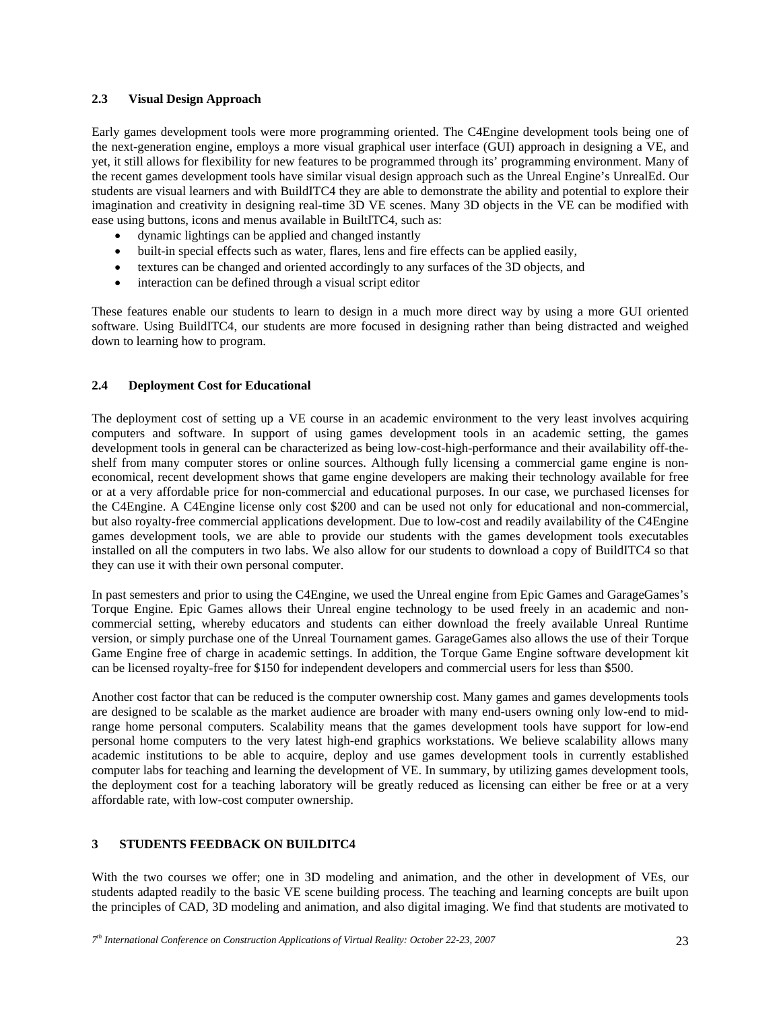#### **2.3 Visual Design Approach**

Early games development tools were more programming oriented. The C4Engine development tools being one of the next-generation engine, employs a more visual graphical user interface (GUI) approach in designing a VE, and yet, it still allows for flexibility for new features to be programmed through its' programming environment. Many of the recent games development tools have similar visual design approach such as the Unreal Engine's UnrealEd. Our students are visual learners and with BuildITC4 they are able to demonstrate the ability and potential to explore their imagination and creativity in designing real-time 3D VE scenes. Many 3D objects in the VE can be modified with ease using buttons, icons and menus available in BuiltITC4, such as:

- dynamic lightings can be applied and changed instantly
- built-in special effects such as water, flares, lens and fire effects can be applied easily,
- textures can be changed and oriented accordingly to any surfaces of the 3D objects, and
- interaction can be defined through a visual script editor

These features enable our students to learn to design in a much more direct way by using a more GUI oriented software. Using BuildITC4, our students are more focused in designing rather than being distracted and weighed down to learning how to program.

## **2.4 Deployment Cost for Educational**

The deployment cost of setting up a VE course in an academic environment to the very least involves acquiring computers and software. In support of using games development tools in an academic setting, the games development tools in general can be characterized as being low-cost-high-performance and their availability off-theshelf from many computer stores or online sources. Although fully licensing a commercial game engine is noneconomical, recent development shows that game engine developers are making their technology available for free or at a very affordable price for non-commercial and educational purposes. In our case, we purchased licenses for the C4Engine. A C4Engine license only cost \$200 and can be used not only for educational and non-commercial, but also royalty-free commercial applications development. Due to low-cost and readily availability of the C4Engine games development tools, we are able to provide our students with the games development tools executables installed on all the computers in two labs. We also allow for our students to download a copy of BuildITC4 so that they can use it with their own personal computer.

In past semesters and prior to using the C4Engine, we used the Unreal engine from Epic Games and GarageGames's Torque Engine. Epic Games allows their Unreal engine technology to be used freely in an academic and noncommercial setting, whereby educators and students can either download the freely available Unreal Runtime version, or simply purchase one of the Unreal Tournament games. GarageGames also allows the use of their Torque Game Engine free of charge in academic settings. In addition, the Torque Game Engine software development kit can be licensed royalty-free for \$150 for independent developers and commercial users for less than \$500.

Another cost factor that can be reduced is the computer ownership cost. Many games and games developments tools are designed to be scalable as the market audience are broader with many end-users owning only low-end to midrange home personal computers. Scalability means that the games development tools have support for low-end personal home computers to the very latest high-end graphics workstations. We believe scalability allows many academic institutions to be able to acquire, deploy and use games development tools in currently established computer labs for teaching and learning the development of VE. In summary, by utilizing games development tools, the deployment cost for a teaching laboratory will be greatly reduced as licensing can either be free or at a very affordable rate, with low-cost computer ownership.

# **3 STUDENTS FEEDBACK ON BUILDITC4**

With the two courses we offer; one in 3D modeling and animation, and the other in development of VEs, our students adapted readily to the basic VE scene building process. The teaching and learning concepts are built upon the principles of CAD, 3D modeling and animation, and also digital imaging. We find that students are motivated to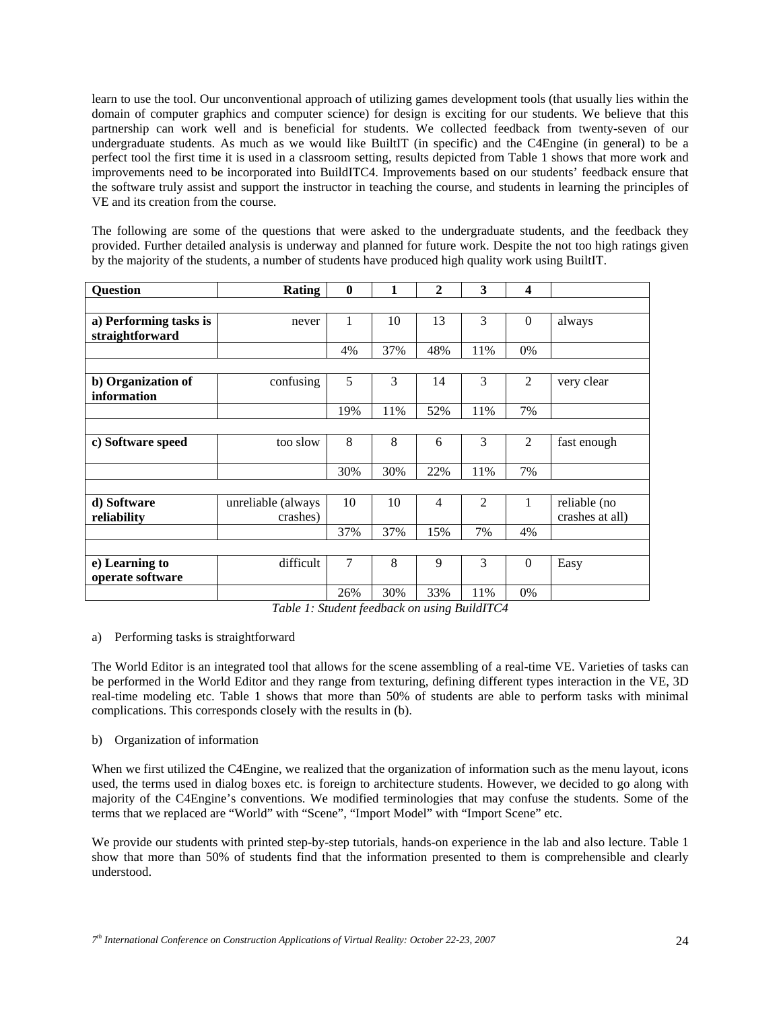learn to use the tool. Our unconventional approach of utilizing games development tools (that usually lies within the domain of computer graphics and computer science) for design is exciting for our students. We believe that this partnership can work well and is beneficial for students. We collected feedback from twenty-seven of our undergraduate students. As much as we would like BuiltIT (in specific) and the C4Engine (in general) to be a perfect tool the first time it is used in a classroom setting, results depicted from Table 1 shows that more work and improvements need to be incorporated into BuildITC4. Improvements based on our students' feedback ensure that the software truly assist and support the instructor in teaching the course, and students in learning the principles of VE and its creation from the course.

The following are some of the questions that were asked to the undergraduate students, and the feedback they provided. Further detailed analysis is underway and planned for future work. Despite the not too high ratings given by the majority of the students, a number of students have produced high quality work using BuiltIT.

| <b>Question</b>        | Rating             | $\mathbf{0}$ | 1   | 2              | 3              | 4        |                 |
|------------------------|--------------------|--------------|-----|----------------|----------------|----------|-----------------|
|                        |                    |              |     |                |                |          |                 |
| a) Performing tasks is | never              | 1            | 10  | 13             | 3              | $\Omega$ | always          |
| straightforward        |                    |              |     |                |                |          |                 |
|                        |                    | 4%           | 37% | 48%            | 11%            | 0%       |                 |
|                        |                    |              |     |                |                |          |                 |
| b) Organization of     | confusing          | 5            | 3   | 14             | 3              | 2        | very clear      |
| information            |                    |              |     |                |                |          |                 |
|                        |                    | 19%          | 11% | 52%            | 11%            | 7%       |                 |
|                        |                    |              |     |                |                |          |                 |
| c) Software speed      | too slow           | 8            | 8   | 6              | 3              | 2        | fast enough     |
|                        |                    |              |     |                |                |          |                 |
|                        |                    | 30%          | 30% | 22%            | 11%            | 7%       |                 |
|                        |                    |              |     |                |                |          |                 |
| d) Software            | unreliable (always | 10           | 10  | $\overline{4}$ | $\overline{2}$ | 1        | reliable (no    |
| reliability            | crashes)           |              |     |                |                |          | crashes at all) |
|                        |                    | 37%          | 37% | 15%            | 7%             | 4%       |                 |
|                        |                    |              |     |                |                |          |                 |
| e) Learning to         | difficult          | 7            | 8   | 9              | 3              | $\Omega$ | Easy            |
| operate software       |                    |              |     |                |                |          |                 |
|                        |                    | 26%          | 30% | 33%            | 11%            | 0%       |                 |

*Table 1: Student feedback on using BuildITC4* 

## a) Performing tasks is straightforward

The World Editor is an integrated tool that allows for the scene assembling of a real-time VE. Varieties of tasks can be performed in the World Editor and they range from texturing, defining different types interaction in the VE, 3D real-time modeling etc. Table 1 shows that more than 50% of students are able to perform tasks with minimal complications. This corresponds closely with the results in (b).

## b) Organization of information

When we first utilized the C4Engine, we realized that the organization of information such as the menu layout, icons used, the terms used in dialog boxes etc. is foreign to architecture students. However, we decided to go along with majority of the C4Engine's conventions. We modified terminologies that may confuse the students. Some of the terms that we replaced are "World" with "Scene", "Import Model" with "Import Scene" etc.

We provide our students with printed step-by-step tutorials, hands-on experience in the lab and also lecture. Table 1 show that more than 50% of students find that the information presented to them is comprehensible and clearly understood.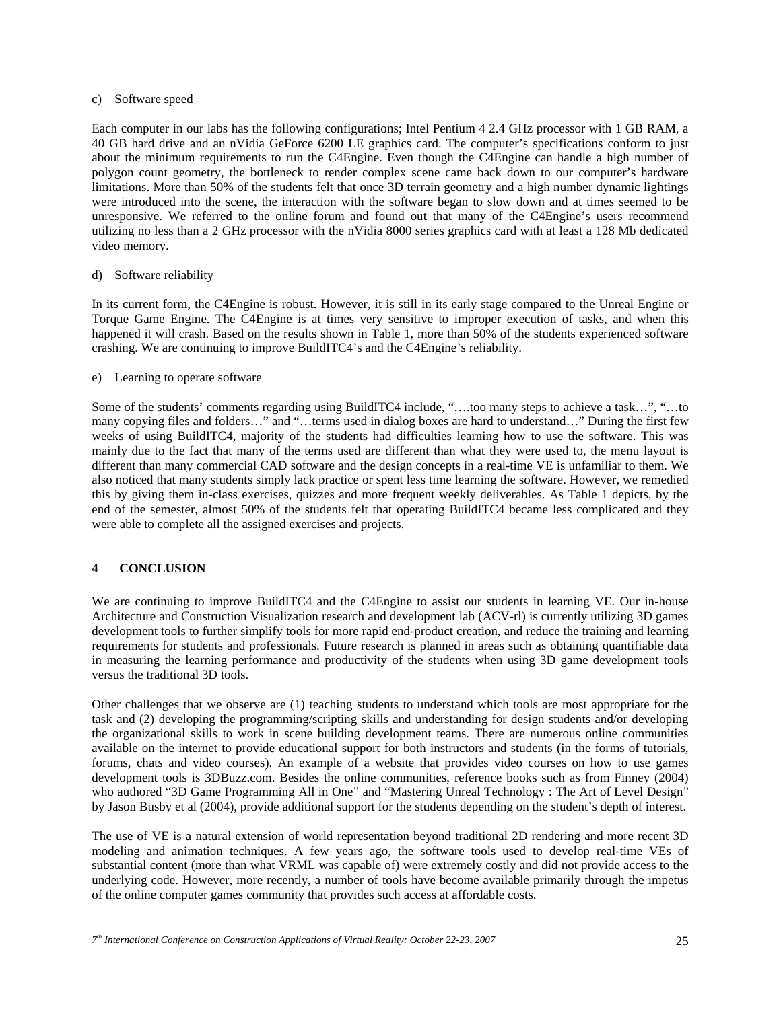#### c) Software speed

Each computer in our labs has the following configurations; Intel Pentium 4 2.4 GHz processor with 1 GB RAM, a 40 GB hard drive and an nVidia GeForce 6200 LE graphics card. The computer's specifications conform to just about the minimum requirements to run the C4Engine. Even though the C4Engine can handle a high number of polygon count geometry, the bottleneck to render complex scene came back down to our computer's hardware limitations. More than 50% of the students felt that once 3D terrain geometry and a high number dynamic lightings were introduced into the scene, the interaction with the software began to slow down and at times seemed to be unresponsive. We referred to the online forum and found out that many of the C4Engine's users recommend utilizing no less than a 2 GHz processor with the nVidia 8000 series graphics card with at least a 128 Mb dedicated video memory.

#### d) Software reliability

In its current form, the C4Engine is robust. However, it is still in its early stage compared to the Unreal Engine or Torque Game Engine. The C4Engine is at times very sensitive to improper execution of tasks, and when this happened it will crash. Based on the results shown in Table 1, more than 50% of the students experienced software crashing. We are continuing to improve BuildITC4's and the C4Engine's reliability.

#### e) Learning to operate software

Some of the students' comments regarding using BuildITC4 include, "….too many steps to achieve a task…", "…to many copying files and folders…" and "…terms used in dialog boxes are hard to understand…" During the first few weeks of using BuildITC4, majority of the students had difficulties learning how to use the software. This was mainly due to the fact that many of the terms used are different than what they were used to, the menu layout is different than many commercial CAD software and the design concepts in a real-time VE is unfamiliar to them. We also noticed that many students simply lack practice or spent less time learning the software. However, we remedied this by giving them in-class exercises, quizzes and more frequent weekly deliverables. As Table 1 depicts, by the end of the semester, almost 50% of the students felt that operating BuildITC4 became less complicated and they were able to complete all the assigned exercises and projects.

## **4 CONCLUSION**

We are continuing to improve BuildITC4 and the C4Engine to assist our students in learning VE. Our in-house Architecture and Construction Visualization research and development lab (ACV-rl) is currently utilizing 3D games development tools to further simplify tools for more rapid end-product creation, and reduce the training and learning requirements for students and professionals. Future research is planned in areas such as obtaining quantifiable data in measuring the learning performance and productivity of the students when using 3D game development tools versus the traditional 3D tools.

Other challenges that we observe are (1) teaching students to understand which tools are most appropriate for the task and (2) developing the programming/scripting skills and understanding for design students and/or developing the organizational skills to work in scene building development teams. There are numerous online communities available on the internet to provide educational support for both instructors and students (in the forms of tutorials, forums, chats and video courses). An example of a website that provides video courses on how to use games development tools is 3DBuzz.com. Besides the online communities, reference books such as from Finney (2004) who authored "3D Game Programming All in One" and "Mastering Unreal Technology : The Art of Level Design" by Jason Busby et al (2004), provide additional support for the students depending on the student's depth of interest.

The use of VE is a natural extension of world representation beyond traditional 2D rendering and more recent 3D modeling and animation techniques. A few years ago, the software tools used to develop real-time VEs of substantial content (more than what VRML was capable of) were extremely costly and did not provide access to the underlying code. However, more recently, a number of tools have become available primarily through the impetus of the online computer games community that provides such access at affordable costs.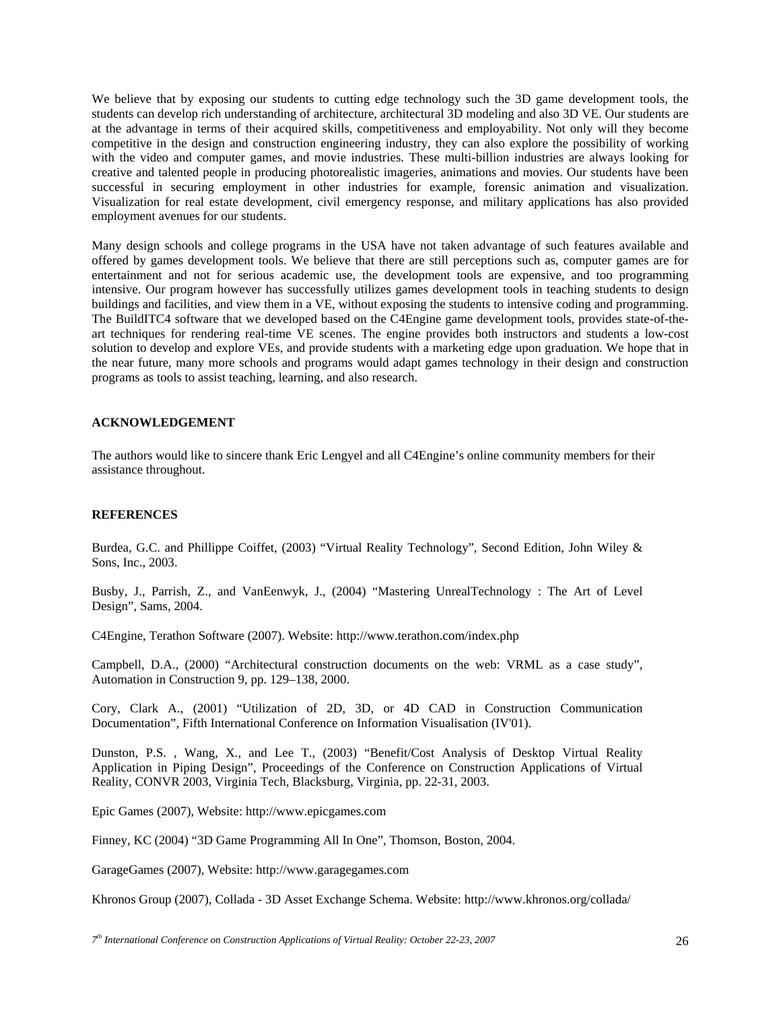We believe that by exposing our students to cutting edge technology such the 3D game development tools, the students can develop rich understanding of architecture, architectural 3D modeling and also 3D VE. Our students are at the advantage in terms of their acquired skills, competitiveness and employability. Not only will they become competitive in the design and construction engineering industry, they can also explore the possibility of working with the video and computer games, and movie industries. These multi-billion industries are always looking for creative and talented people in producing photorealistic imageries, animations and movies. Our students have been successful in securing employment in other industries for example, forensic animation and visualization. Visualization for real estate development, civil emergency response, and military applications has also provided employment avenues for our students.

Many design schools and college programs in the USA have not taken advantage of such features available and offered by games development tools. We believe that there are still perceptions such as, computer games are for entertainment and not for serious academic use, the development tools are expensive, and too programming intensive. Our program however has successfully utilizes games development tools in teaching students to design buildings and facilities, and view them in a VE, without exposing the students to intensive coding and programming. The BuildITC4 software that we developed based on the C4Engine game development tools, provides state-of-theart techniques for rendering real-time VE scenes. The engine provides both instructors and students a low-cost solution to develop and explore VEs, and provide students with a marketing edge upon graduation. We hope that in the near future, many more schools and programs would adapt games technology in their design and construction programs as tools to assist teaching, learning, and also research.

## **ACKNOWLEDGEMENT**

The authors would like to sincere thank Eric Lengyel and all C4Engine's online community members for their assistance throughout.

#### **REFERENCES**

Burdea, G.C. and Phillippe Coiffet, (2003) "Virtual Reality Technology", Second Edition, John Wiley & Sons, Inc., 2003.

Busby, J., Parrish, Z., and VanEenwyk, J., (2004) "Mastering UnrealTechnology : The Art of Level Design", Sams, 2004.

C4Engine, Terathon Software (2007). Website: http://www.terathon.com/index.php

Campbell, D.A., (2000) "Architectural construction documents on the web: VRML as a case study", Automation in Construction 9, pp. 129–138, 2000.

Cory, Clark A., (2001) "Utilization of 2D, 3D, or 4D CAD in Construction Communication Documentation", Fifth International Conference on Information Visualisation (IV'01).

Dunston, P.S. , Wang, X., and Lee T., (2003) "Benefit/Cost Analysis of Desktop Virtual Reality Application in Piping Design", Proceedings of the Conference on Construction Applications of Virtual Reality, CONVR 2003, Virginia Tech, Blacksburg, Virginia, pp. 22-31, 2003.

Epic Games (2007), Website: http://www.epicgames.com

Finney, KC (2004) "3D Game Programming All In One", Thomson, Boston, 2004.

GarageGames (2007), Website: http://www.garagegames.com

Khronos Group (2007), Collada - 3D Asset Exchange Schema. Website: http://www.khronos.org/collada/

*<sup>7</sup>th International Conference on Construction Applications of Virtual Reality: October 22-23, 2007* 26